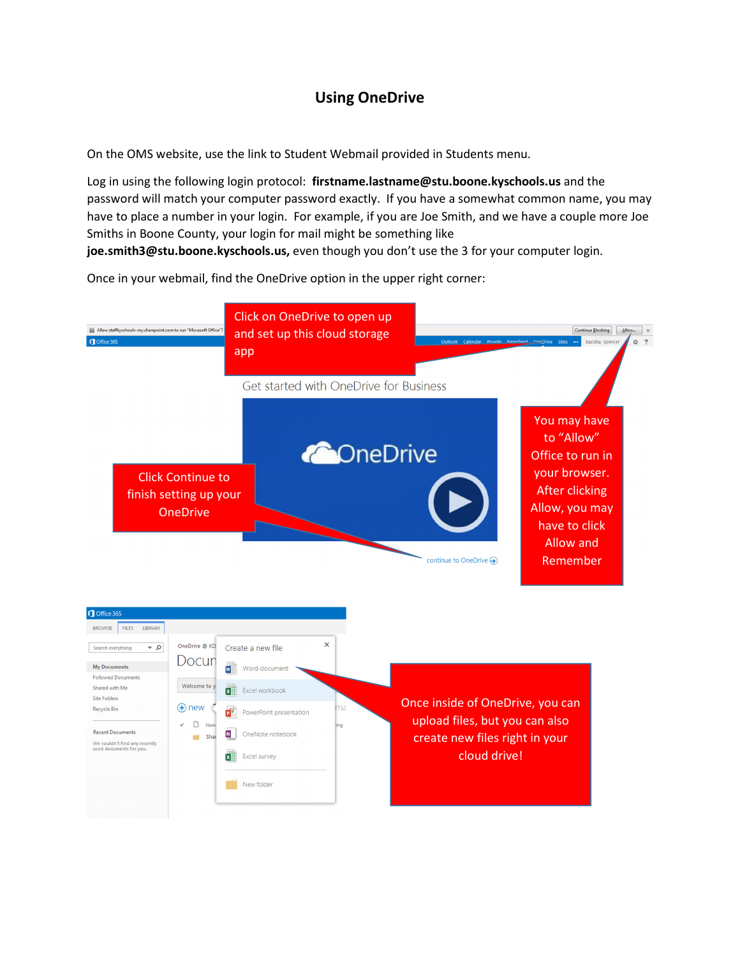## Using OneDrive

On the OMS website, use the link to Student Webmail provided in Students menu.

Log in using the following login protocol: firstname.lastname@stu.boone.kyschools.us and the password will match your computer password exactly. If you have a somewhat common name, you may have to place a number in your login. For example, if you are Joe Smith, and we have a couple more Joe Smiths in Boone County, your login for mail might be something like

joe.smith3@stu.boone.kyschools.us, even though you don't use the 3 for your computer login.

Once in your webmail, find the OneDrive option in the upper right corner:



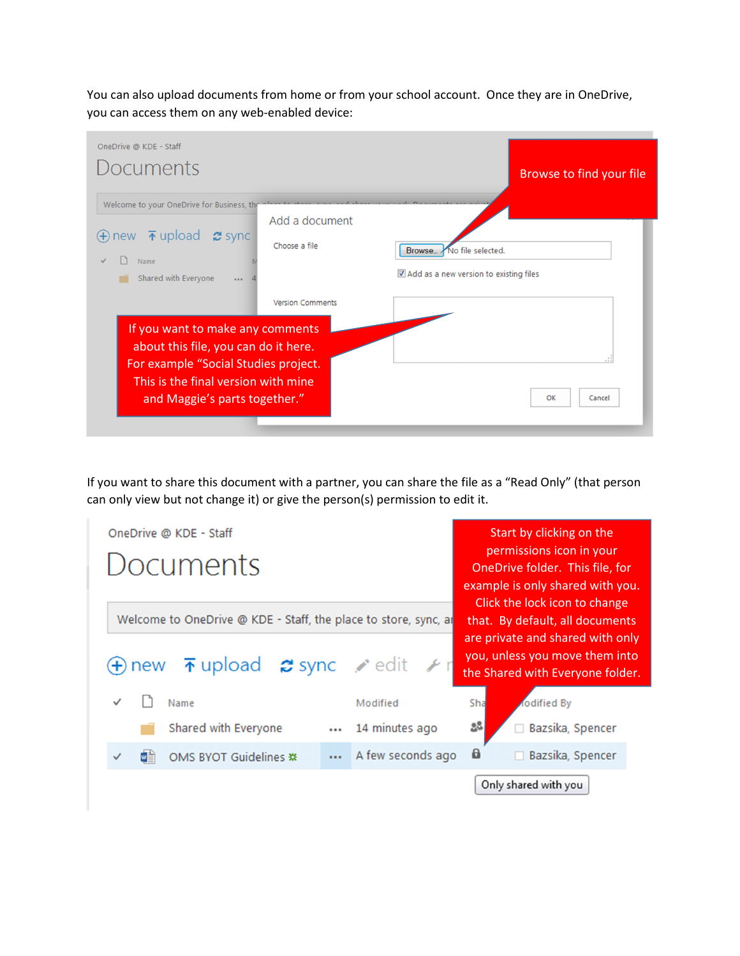You can also upload documents from home or from your school account. Once they are in OneDrive, you can access them on any web-enabled device:

| OneDrive @ KDE - Staff<br>Documents                                                                                                                                                      |                                 | Browse to find your file                                            |
|------------------------------------------------------------------------------------------------------------------------------------------------------------------------------------------|---------------------------------|---------------------------------------------------------------------|
| Welcome to your OneDrive for Business, the<br>$\oplus$ new $\bar{\uparrow}$ upload $\sigma$ sync<br>Name<br>Shared with Everyone<br>$\cdots$                                             | Add a document<br>Choose a file | Browse. No file selected.<br>Add as a new version to existing files |
| If you want to make any comments<br>about this file, you can do it here.<br>For example "Social Studies project.<br>This is the final version with mine<br>and Maggie's parts together." | <b>Version Comments</b>         | OK<br>Cancel                                                        |

If you want to share this document with a partner, you can share the file as a "Read Only" (that person can only view but not change it) or give the person(s) permission to edit it.